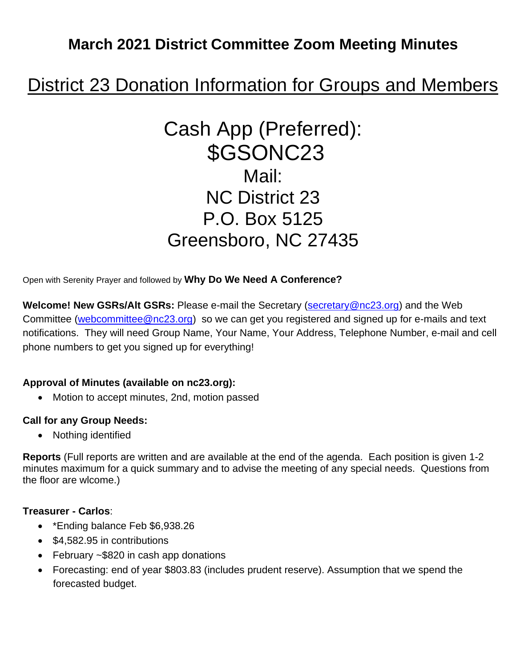## **March 2021 District Committee Zoom Meeting Minutes**

# District 23 Donation Information for Groups and Members

# Cash App (Preferred): \$GSONC23 Mail: NC District 23 P.O. Box 5125 Greensboro, NC 27435

Open with Serenity Prayer and followed by **Why Do We Need A Conference?** 

**Welcome! New GSRs/Alt GSRs:** Please e-mail the Secretary [\(secretary@nc23.org\)](mailto:secretary@nc23.org) and the Web Committee [\(webcommittee@nc23.org\)](mailto:webcommittee@nc23.org) so we can get you registered and signed up for e-mails and text notifications. They will need Group Name, Your Name, Your Address, Telephone Number, e-mail and cell phone numbers to get you signed up for everything!

#### **Approval of Minutes (available on nc23.org):**

• Motion to accept minutes, 2nd, motion passed

#### **Call for any Group Needs:**

• Nothing identified

**Reports** (Full reports are written and are available at the end of the agenda. Each position is given 1-2 minutes maximum for a quick summary and to advise the meeting of any special needs. Questions from the floor are wlcome.)

#### **Treasurer - Carlos**:

- \*Ending balance Feb \$6,938.26
- \$4,582.95 in contributions
- February ~\$820 in cash app donations
- Forecasting: end of year \$803.83 (includes prudent reserve). Assumption that we spend the forecasted budget.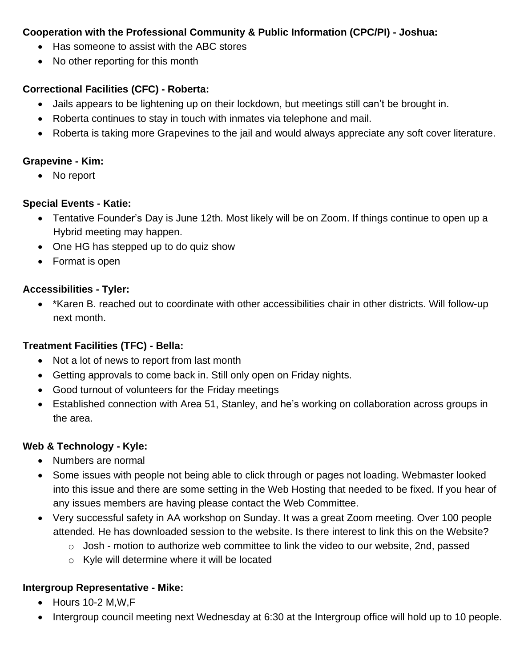#### **Cooperation with the Professional Community & Public Information (CPC/PI) - Joshua:**

- Has someone to assist with the ABC stores
- No other reporting for this month

#### **Correctional Facilities (CFC) - Roberta:**

- Jails appears to be lightening up on their lockdown, but meetings still can't be brought in.
- Roberta continues to stay in touch with inmates via telephone and mail.
- Roberta is taking more Grapevines to the jail and would always appreciate any soft cover literature.

#### **Grapevine - Kim:**

• No report

#### **Special Events - Katie:**

- Tentative Founder's Day is June 12th. Most likely will be on Zoom. If things continue to open up a Hybrid meeting may happen.
- One HG has stepped up to do quiz show
- Format is open

#### **Accessibilities - Tyler:**

• \*Karen B. reached out to coordinate with other accessibilities chair in other districts. Will follow-up next month.

#### **Treatment Facilities (TFC) - Bella:**

- Not a lot of news to report from last month
- Getting approvals to come back in. Still only open on Friday nights.
- Good turnout of volunteers for the Friday meetings
- Established connection with Area 51, Stanley, and he's working on collaboration across groups in the area.

#### **Web & Technology - Kyle:**

- Numbers are normal
- Some issues with people not being able to click through or pages not loading. Webmaster looked into this issue and there are some setting in the Web Hosting that needed to be fixed. If you hear of any issues members are having please contact the Web Committee.
- Very successful safety in AA workshop on Sunday. It was a great Zoom meeting. Over 100 people attended. He has downloaded session to the website. Is there interest to link this on the Website?
	- $\circ$  Josh motion to authorize web committee to link the video to our website, 2nd, passed
	- o Kyle will determine where it will be located

#### **Intergroup Representative - Mike:**

- Hours 10-2 M,W,F
- Intergroup council meeting next Wednesday at 6:30 at the Intergroup office will hold up to 10 people.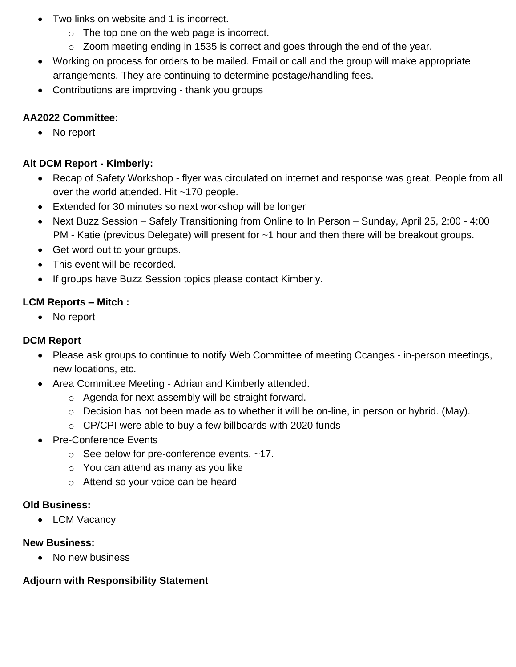- Two links on website and 1 is incorrect.
	- $\circ$  The top one on the web page is incorrect.
	- o Zoom meeting ending in 1535 is correct and goes through the end of the year.
- Working on process for orders to be mailed. Email or call and the group will make appropriate arrangements. They are continuing to determine postage/handling fees.
- Contributions are improving thank you groups

#### **AA2022 Committee:**

• No report

#### **Alt DCM Report - Kimberly:**

- Recap of Safety Workshop flyer was circulated on internet and response was great. People from all over the world attended. Hit ~170 people.
- Extended for 30 minutes so next workshop will be longer
- Next Buzz Session Safely Transitioning from Online to In Person Sunday, April 25, 2:00 4:00 PM - Katie (previous Delegate) will present for ~1 hour and then there will be breakout groups.
- Get word out to your groups.
- This event will be recorded.
- If groups have Buzz Session topics please contact Kimberly.

#### **LCM Reports – Mitch :**

• No report

#### **DCM Report**

- Please ask groups to continue to notify Web Committee of meeting Ccanges in-person meetings, new locations, etc.
- Area Committee Meeting Adrian and Kimberly attended.
	- o Agenda for next assembly will be straight forward.
	- o Decision has not been made as to whether it will be on-line, in person or hybrid. (May).
	- o CP/CPI were able to buy a few billboards with 2020 funds
- Pre-Conference Events
	- o See below for pre-conference events. ~17.
	- o You can attend as many as you like
	- o Attend so your voice can be heard

#### **Old Business:**

• LCM Vacancy

#### **New Business:**

• No new business

#### **Adjourn with Responsibility Statement**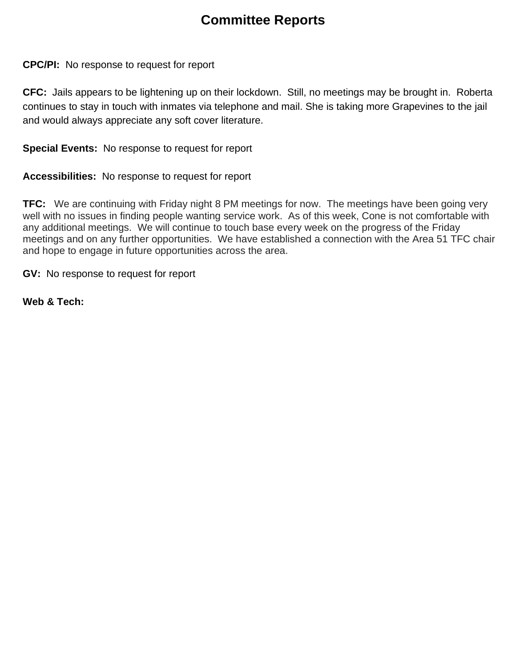### **Committee Reports**

**CPC/PI:** No response to request for report

**CFC:** Jails appears to be lightening up on their lockdown. Still, no meetings may be brought in. Roberta continues to stay in touch with inmates via telephone and mail. She is taking more Grapevines to the jail and would always appreciate any soft cover literature.

**Special Events:** No response to request for report

**Accessibilities:** No response to request for report

**TFC:** We are continuing with Friday night 8 PM meetings for now. The meetings have been going very well with no issues in finding people wanting service work. As of this week, Cone is not comfortable with any additional meetings. We will continue to touch base every week on the progress of the Friday meetings and on any further opportunities. We have established a connection with the Area 51 TFC chair and hope to engage in future opportunities across the area.

**GV:** No response to request for report

**Web & Tech:**